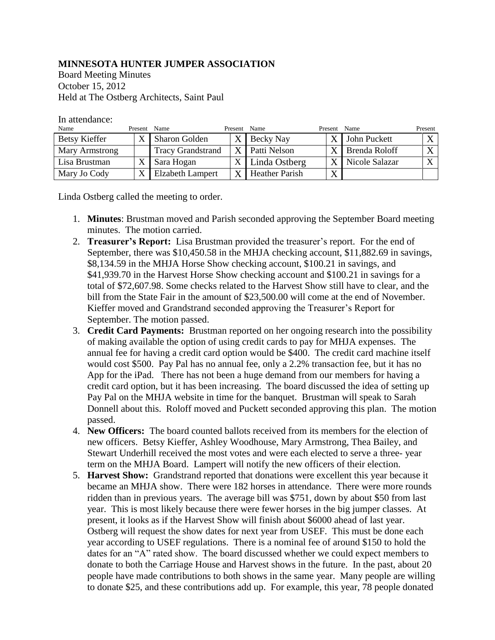## **MINNESOTA HUNTER JUMPER ASSOCIATION**

Board Meeting Minutes October 15, 2012 Held at The Ostberg Architects, Saint Paul

| Name                 | Present Name |                          | Present Name |                       | Present | Name           | Present           |
|----------------------|--------------|--------------------------|--------------|-----------------------|---------|----------------|-------------------|
| <b>Betsy Kieffer</b> | $\mathbf{v}$ | <b>Sharon Golden</b>     |              | Becky Nay             | X       | John Puckett   | $\mathbf{x}$      |
| Mary Armstrong       |              | <b>Tracy Grandstrand</b> |              | Patti Nelson          | X       | Brenda Roloff  | $\mathbf{x}$      |
| Lisa Brustman        | $\mathbf v$  | Sara Hogan               |              | Linda Ostberg         | X       | Nicole Salazar | $\mathbf{v}$<br>△ |
| Mary Jo Cody         | $\mathbf v$  | <b>Elzabeth Lampert</b>  |              | <b>Heather Parish</b> | X       |                |                   |

In attendance:

Linda Ostberg called the meeting to order.

- 1. **Minutes**: Brustman moved and Parish seconded approving the September Board meeting minutes. The motion carried.
- 2. **Treasurer's Report:** Lisa Brustman provided the treasurer's report. For the end of September, there was \$10,450.58 in the MHJA checking account, \$11,882.69 in savings, \$8,134.59 in the MHJA Horse Show checking account, \$100.21 in savings, and \$41,939.70 in the Harvest Horse Show checking account and \$100.21 in savings for a total of \$72,607.98. Some checks related to the Harvest Show still have to clear, and the bill from the State Fair in the amount of \$23,500.00 will come at the end of November. Kieffer moved and Grandstrand seconded approving the Treasurer's Report for September. The motion passed.
- 3. **Credit Card Payments:** Brustman reported on her ongoing research into the possibility of making available the option of using credit cards to pay for MHJA expenses. The annual fee for having a credit card option would be \$400. The credit card machine itself would cost \$500. Pay Pal has no annual fee, only a 2.2% transaction fee, but it has no App for the iPad. There has not been a huge demand from our members for having a credit card option, but it has been increasing. The board discussed the idea of setting up Pay Pal on the MHJA website in time for the banquet. Brustman will speak to Sarah Donnell about this. Roloff moved and Puckett seconded approving this plan. The motion passed.
- 4. **New Officers:** The board counted ballots received from its members for the election of new officers. Betsy Kieffer, Ashley Woodhouse, Mary Armstrong, Thea Bailey, and Stewart Underhill received the most votes and were each elected to serve a three- year term on the MHJA Board. Lampert will notify the new officers of their election.
- 5. **Harvest Show:** Grandstrand reported that donations were excellent this year because it became an MHJA show. There were 182 horses in attendance. There were more rounds ridden than in previous years. The average bill was \$751, down by about \$50 from last year. This is most likely because there were fewer horses in the big jumper classes. At present, it looks as if the Harvest Show will finish about \$6000 ahead of last year. Ostberg will request the show dates for next year from USEF. This must be done each year according to USEF regulations. There is a nominal fee of around \$150 to hold the dates for an "A" rated show. The board discussed whether we could expect members to donate to both the Carriage House and Harvest shows in the future. In the past, about 20 people have made contributions to both shows in the same year. Many people are willing to donate \$25, and these contributions add up. For example, this year, 78 people donated